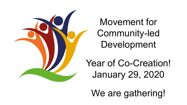

Movement for Community-led Development

Year of Co-Creation! January 29, 2020

We are gathering!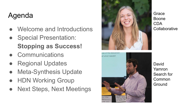## Agenda

- Welcome and Introductions
- Special Presentation: **Stopping as Success!**
- Communications
- **Regional Updates**
- **Meta-Synthesis Update**
- **HDN Working Group**
- **Next Steps, Next Meetings**





Grace Boone CDA **Collaborative** 

David Yamron Search for Common Ground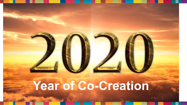# **Year of Co-Creation**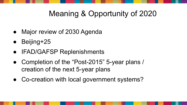## Meaning & Opportunity of 2020

- Major review of 2030 Agenda
- Beijing+25
- IFAD/GAFSP Replenishments
- Completion of the "Post-2015" 5-year plans / creation of the next 5-year plans
- Co-creation with local government systems?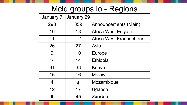## Mcld.groups.io - Regions

| January 7 | January 29 |                         |
|-----------|------------|-------------------------|
| 298       | 359        | Announcements (Main)    |
| 16        | 18         | Africa West English     |
| 11        | 12         | Africa West Francophone |
| 26        | 27         | Asia                    |
| 9         | 10         | <b>Europe</b>           |
| 14        | 14         | Ethiopia                |
| 31        | 33         | Kenya                   |
| 16        | 16         | Malawi                  |
| 4         | 4          | Mozambique              |
| 12        | 17         | Uganda                  |
| 9         | 45         | <b>Zambia</b>           |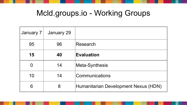## Mcld.groups.io - Working Groups

| January 7 | January 29 |                                      |
|-----------|------------|--------------------------------------|
| 95        | 96         | Research                             |
| 15        | 40         | <b>Evaluation</b>                    |
| 0         | 14         | Meta-Synthesis                       |
| 10        | 14         | Communications                       |
| 6         | 8          | Humanitarian Development Nexus (HDN) |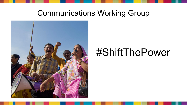## Communications Working Group



## #ShiftThePower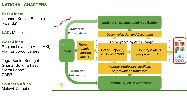### **NATIONAL CHAPTERS**

**East Africa:** Uganda, Kenya, Ethiopia Rwanda?

**LAC:** Mexico

#### **West Africa**

Regional event in April. HKI, Plan as co-conveners

Togo, Benin, Senegal Ghana, Burkina Faso Sierra Leone? CAR?

**Southern Africa** Malawi, Zambia

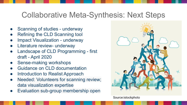## Collaborative Meta-Synthesis: Next Steps

- Scanning of studies underway
- Refining the CLD Scanning tool
- **Impact Visualization underway**
- Literature review- underway
- Landscape of CLD Programming first draft - April 2020
- Sense-making workshops
- **Guidance on CLD documentation**
- Introduction to Realist Approach
- Needed: Volunteers for scanning review; data visualization expertise
- Evaluation sub-group membership open



Source:istockphoto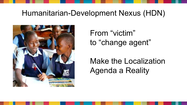## Humanitarian-Development Nexus (HDN)



From "victim" to "change agent"

Make the Localization Agenda a Reality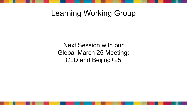## Learning Working Group

Next Session with our Global March 25 Meeting: CLD and Beijing+25